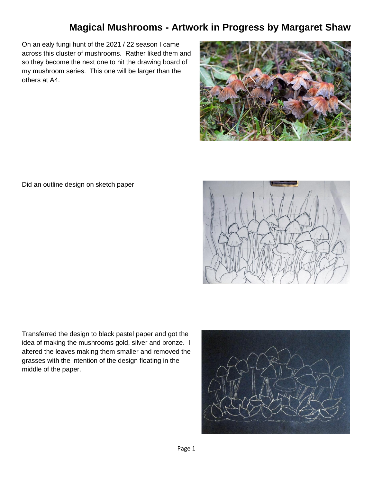## **Magical Mushrooms - Artwork in Progress by Margaret Shaw**

On an ealy fungi hunt of the 2021 / 22 season I came across this cluster of mushrooms. Rather liked them and so they become the next one to hit the drawing board of my mushroom series. This one will be larger than the others at A4.



Did an outline design on sketch paper



Transferred the design to black pastel paper and got the idea of making the mushrooms gold, silver and bronze. I altered the leaves making them smaller and removed the grasses with the intention of the design floating in the middle of the paper.

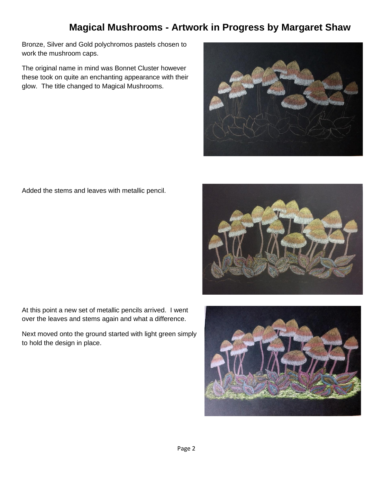## **Magical Mushrooms - Artwork in Progress by Margaret Shaw**

Bronze, Silver and Gold polychromos pastels chosen to work the mushroom caps.

The original name in mind was Bonnet Cluster however these took on quite an enchanting appearance with their glow. The title changed to Magical Mushrooms.



Added the stems and leaves with metallic pencil.



At this point a new set of metallic pencils arrived. I went over the leaves and stems again and what a difference.

Next moved onto the ground started with light green simply to hold the design in place.